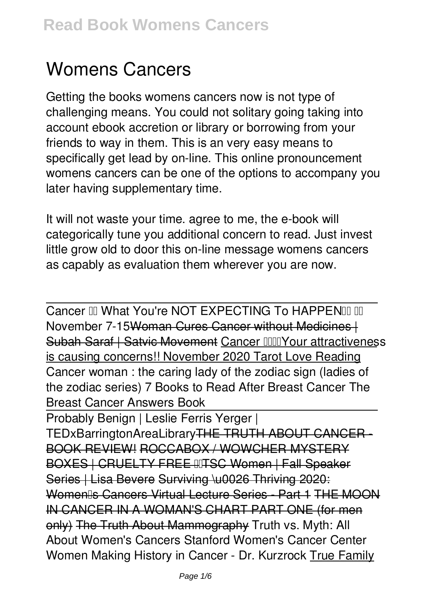# **Womens Cancers**

Getting the books **womens cancers** now is not type of challenging means. You could not solitary going taking into account ebook accretion or library or borrowing from your friends to way in them. This is an very easy means to specifically get lead by on-line. This online pronouncement womens cancers can be one of the options to accompany you later having supplementary time.

It will not waste your time. agree to me, the e-book will categorically tune you additional concern to read. Just invest little grow old to door this on-line message **womens cancers** as capably as evaluation them wherever you are now.

Cancer III What You're NOT EXPECTING To HAPPENIII III November 7-15Woman Cures Cancer without Medicines | Subah Saraf | Satvic Movement Cancer IIIIIYour attractiveness is causing concerns!! November 2020 Tarot Love Reading **Cancer woman : the caring lady of the zodiac sign (ladies of the zodiac series) 7 Books to Read After Breast Cancer The Breast Cancer Answers Book**

Probably Benign | Leslie Ferris Yerger | TEDxBarringtonAreaLibrary<del>THE TRUTH ABOUT CANCER</del> BOOK REVIEW! ROCCABOX / WOWCHER MYSTERY BOXES | CRUELTY FREE IITSC Women | Fall Speaker Series | Lisa Bevere Surviving \u0026 Thriving 2020: Womenlls Cancers Virtual Lecture Series - Part 1 THE MOON IN CANCER IN A WOMAN'S CHART PART ONE (for men only) The Truth About Mammography **Truth vs. Myth: All About Women's Cancers Stanford Women's Cancer Center** Women Making History in Cancer - Dr. Kurzrock True Family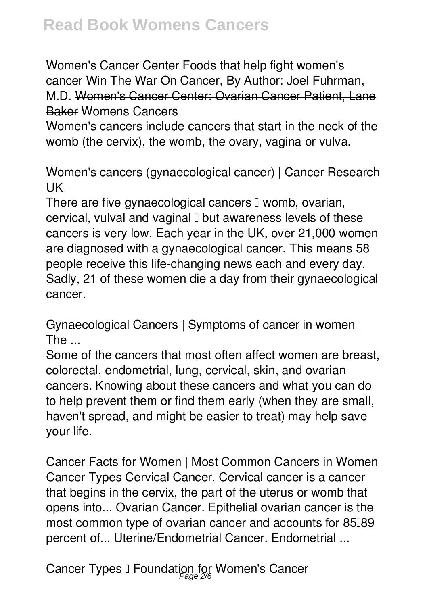Women's Cancer Center Foods that help fight women's cancer **Win The War On Cancer, By Author: Joel Fuhrman, M.D.** Women's Cancer Center: Ovarian Cancer Patient, Lane Baker **Womens Cancers**

Women's cancers include cancers that start in the neck of the womb (the cervix), the womb, the ovary, vagina or vulva.

**Women's cancers (gynaecological cancer) | Cancer Research UK**

There are five gynaecological cancers  $\mathbb I$  womb, ovarian, cervical, vulval and vaginal  $\mathbb I$  but awareness levels of these cancers is very low. Each year in the UK, over 21,000 women are diagnosed with a gynaecological cancer. This means 58 people receive this life-changing news each and every day. Sadly, 21 of these women die a day from their gynaecological cancer.

**Gynaecological Cancers | Symptoms of cancer in women | The ...**

Some of the cancers that most often affect women are breast, colorectal, endometrial, lung, cervical, skin, and ovarian cancers. Knowing about these cancers and what you can do to help prevent them or find them early (when they are small, haven't spread, and might be easier to treat) may help save your life.

**Cancer Facts for Women | Most Common Cancers in Women** Cancer Types Cervical Cancer. Cervical cancer is a cancer that begins in the cervix, the part of the uterus or womb that opens into... Ovarian Cancer. Epithelial ovarian cancer is the most common type of ovarian cancer and accounts for 85089 percent of... Uterine/Endometrial Cancer. Endometrial ...

**Cancer Types – Foundation for Women's Cancer** Page 2/6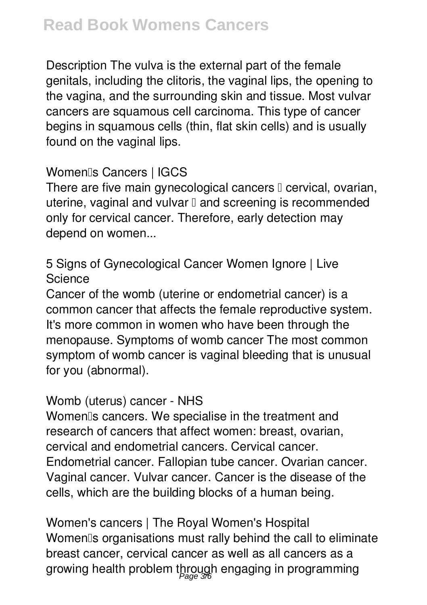Description The vulva is the external part of the female genitals, including the clitoris, the vaginal lips, the opening to the vagina, and the surrounding skin and tissue. Most vulvar cancers are squamous cell carcinoma. This type of cancer begins in squamous cells (thin, flat skin cells) and is usually found on the vaginal lips.

### **Women's Cancers | IGCS**

There are five main gynecological cancers  $\square$  cervical, ovarian, uterine, vaginal and vulvar  $\mathbb I$  and screening is recommended only for cervical cancer. Therefore, early detection may depend on women...

### **5 Signs of Gynecological Cancer Women Ignore | Live Science**

Cancer of the womb (uterine or endometrial cancer) is a common cancer that affects the female reproductive system. It's more common in women who have been through the menopause. Symptoms of womb cancer The most common symptom of womb cancer is vaginal bleeding that is unusual for you (abnormal).

#### **Womb (uterus) cancer - NHS**

Womenlls cancers. We specialise in the treatment and research of cancers that affect women: breast, ovarian, cervical and endometrial cancers. Cervical cancer. Endometrial cancer. Fallopian tube cancer. Ovarian cancer. Vaginal cancer. Vulvar cancer. Cancer is the disease of the cells, which are the building blocks of a human being.

**Women's cancers | The Royal Women's Hospital** Womenlls organisations must rally behind the call to eliminate breast cancer, cervical cancer as well as all cancers as a growing health problem through engaging in programming Page 3/6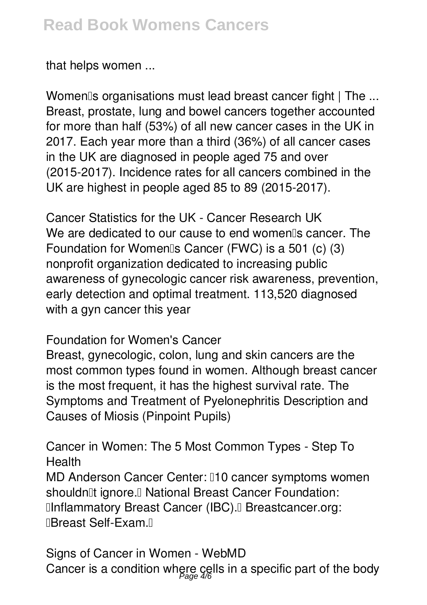#### that helps women ...

**Women's organisations must lead breast cancer fight | The ...** Breast, prostate, lung and bowel cancers together accounted for more than half (53%) of all new cancer cases in the UK in 2017. Each year more than a third (36%) of all cancer cases in the UK are diagnosed in people aged 75 and over (2015-2017). Incidence rates for all cancers combined in the UK are highest in people aged 85 to 89 (2015-2017).

**Cancer Statistics for the UK - Cancer Research UK** We are dedicated to our cause to end women<sup>®</sup>s cancer. The Foundation for Womenlls Cancer (FWC) is a 501 (c)  $(3)$ nonprofit organization dedicated to increasing public awareness of gynecologic cancer risk awareness, prevention, early detection and optimal treatment. 113,520 diagnosed with a gyn cancer this year

#### **Foundation for Women's Cancer**

Breast, gynecologic, colon, lung and skin cancers are the most common types found in women. Although breast cancer is the most frequent, it has the highest survival rate. The Symptoms and Treatment of Pyelonephritis Description and Causes of Miosis (Pinpoint Pupils)

**Cancer in Women: The 5 Most Common Types - Step To Health** MD Anderson Cancer Center: 010 cancer symptoms women shouldn<sup>'[1</sup>t ignore.<sup>[]</sup> National Breast Cancer Foundation: **Ilnflammatory Breast Cancer (IBC).** Breastcancer.org: **IBreast Self-Exam.**<sup>[]</sup>

**Signs of Cancer in Women - WebMD** Cancer is a condition where cells in a specific part of the body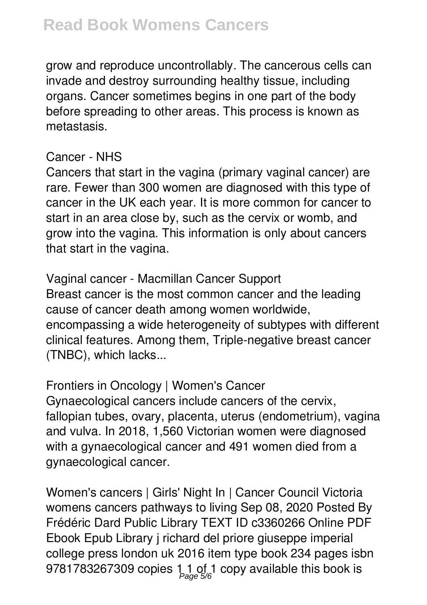## **Read Book Womens Cancers**

grow and reproduce uncontrollably. The cancerous cells can invade and destroy surrounding healthy tissue, including organs. Cancer sometimes begins in one part of the body before spreading to other areas. This process is known as metastasis.

#### **Cancer - NHS**

Cancers that start in the vagina (primary vaginal cancer) are rare. Fewer than 300 women are diagnosed with this type of cancer in the UK each year. It is more common for cancer to start in an area close by, such as the cervix or womb, and grow into the vagina. This information is only about cancers that start in the vagina.

**Vaginal cancer - Macmillan Cancer Support** Breast cancer is the most common cancer and the leading cause of cancer death among women worldwide, encompassing a wide heterogeneity of subtypes with different clinical features. Among them, Triple-negative breast cancer (TNBC), which lacks...

**Frontiers in Oncology | Women's Cancer**

Gynaecological cancers include cancers of the cervix, fallopian tubes, ovary, placenta, uterus (endometrium), vagina and vulva. In 2018, 1,560 Victorian women were diagnosed with a gynaecological cancer and 491 women died from a gynaecological cancer.

**Women's cancers | Girls' Night In | Cancer Council Victoria** womens cancers pathways to living Sep 08, 2020 Posted By Frédéric Dard Public Library TEXT ID c3360266 Online PDF Ebook Epub Library j richard del priore giuseppe imperial college press london uk 2016 item type book 234 pages isbn 9781783267309 copies 1 1 of 1 copy available this book is Page 5/6